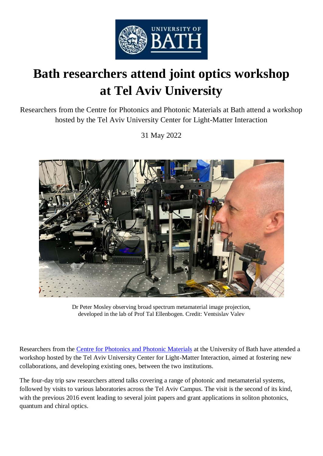

## **Bath researchers attend joint optics workshop at Tel Aviv University**

Researchers from the Centre for Photonics and Photonic Materials at Bath attend a workshop hosted by the Tel Aviv University Center for Light-Matter Interaction

31 May 2022



Dr Peter Mosley observing broad spectrum metamaterial image projection, developed in the lab of Prof Tal Ellenbogen. Credit: Ventsislav Valev

Researchers from the [Centre for Photonics and Photonic Materials](https://www.bath.ac.uk/research-centres/centre-for-photonics-and-photonic-materials/) at the University of Bath have attended a workshop hosted by the Tel Aviv University Center for Light-Matter Interaction, aimed at fostering new collaborations, and developing existing ones, between the two institutions.

The four-day trip saw researchers attend talks covering a range of photonic and metamaterial systems, followed by visits to various laboratories across the Tel Aviv Campus. The visit is the second of its kind, with the previous 2016 event leading to several joint papers and grant applications in soliton photonics, quantum and chiral optics.